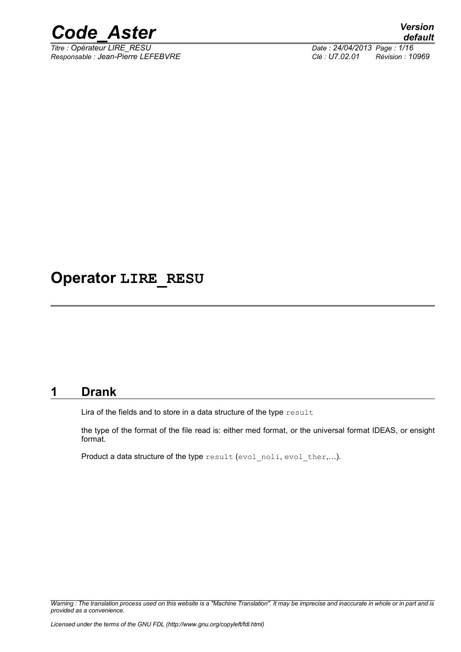

*Responsable : Jean-Pierre LEFEBVRE Clé : U7.02.01 Révision : 10969*

## **Operator LIRE\_RESU**

### **1 Drank**

Lira of the fields and to store in a data structure of the type result

the type of the format of the file read is: either med format, or the universal format IDEAS, or ensight format.

Product a data structure of the type result (evol noli, evol ther,...).

*Warning : The translation process used on this website is a "Machine Translation". It may be imprecise and inaccurate in whole or in part and is provided as a convenience.*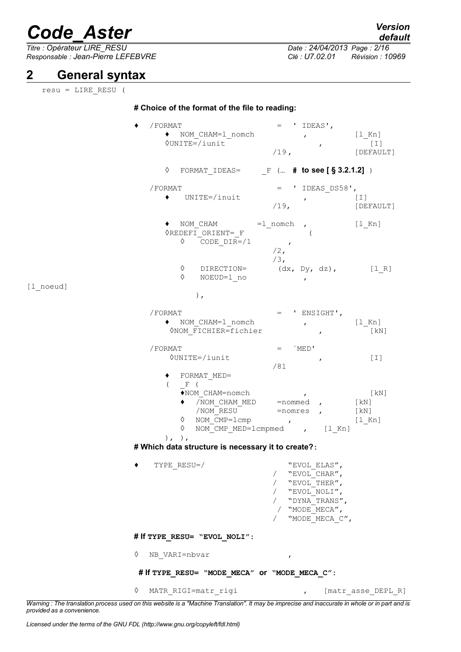$\overline{T}$ itre : Opérateur LIRE\_RESU *Responsable : Jean-Pierre LEFEBVRE Clé : U7.02.01 Révision : 10969*

## **2 General syntax**

resu = LIRE\_RESU (

### **# Choice of the format of the file to reading:**

|           | /FORMAT<br>◆ NOM CHAM=1 nomch<br><b>OUNITE=/iunit</b>                                                                                                                                                                                  | $=$ 'IDEAS',<br>[l Kn]<br>$\mathbf{r}$ and $\mathbf{r}$<br>$\begin{bmatrix} 1 \end{bmatrix}$<br>$\mathbf{r}$<br>$/19$ ,<br>[DEFAULT]<br>$\Diamond$ FORMAT_IDEAS= $\Box$ F ( <b># to see [ § 3.2.1.2]</b> )      |
|-----------|----------------------------------------------------------------------------------------------------------------------------------------------------------------------------------------------------------------------------------------|-----------------------------------------------------------------------------------------------------------------------------------------------------------------------------------------------------------------|
|           | /FORMAT<br>$\bullet$ UNITE=/inuit                                                                                                                                                                                                      | $=$ ' IDEAS DS58',<br>$/19$ , $[1]$<br>$/DE$<br>[DEFAULT]                                                                                                                                                       |
|           | $\bullet$ NOM CHAM =1 nomch,<br>◊REDEFI ORIENT= F<br>$\lozenge$ $\overline{\text{CODE}}$ $\text{DIR} = /1$ ,                                                                                                                           | $[1$ Kn]<br>$/2$ ,<br>$/3$ ,                                                                                                                                                                                    |
| [l noeud] | $\Diamond$ DIRECTION=<br>$\Diamond$<br>NOEUD=1 no<br>$)$ ,                                                                                                                                                                             | $(dx, Dy, dz),$ [1 R]<br>$\mathbf{r}$                                                                                                                                                                           |
|           | /FORMAT<br>ONOM FICHIER=fichier                                                                                                                                                                                                        | $=$ ' ENSIGHT',<br>◆ NOM_CHAM=1_nomch        ,        [1_Kn]<br>[KN]<br>$\mathcal{L} = \mathcal{L}$                                                                                                             |
|           | /FORMAT<br>0UNITE=/iunit<br>◆ FORMAT MED=<br>$F$ (<br>$\left($<br>$\blacklozenge$ NOM CHAM=nomch<br>$\Diamond$ NOM $\overline{C}MP = 1$ cmp ,<br>$\Diamond$<br>$), \,$ , $), \,$<br># Which data structure is necessary it to create?: | `MED'<br>$=$ $-$<br>$[1]$<br>$\mathcal{L}$<br>/81<br>$\mathcal{L} = \mathcal{L}$<br>[KN]<br>$\sqrt{N}$ OM_CHAM_MED = nommed ,<br>[kN]<br>$/ NOM-RESU-$ =nomres , [kN]<br>[1 Kn]<br>NOM CMP MED=lcmpmed , [1 Kn] |
|           | $TYPE\_RESU = /$                                                                                                                                                                                                                       | "EVOL ELAS",<br>"EVOL CHAR",<br>"EVOL THER",<br>"EVOL NOLI",<br>"DYNA TRANS",<br>/ "MODE MECA",<br>"MODE_MECA_C",                                                                                               |
|           | # If TYPE_RESU= "EVOL_NOLI":                                                                                                                                                                                                           |                                                                                                                                                                                                                 |
|           | ♦<br>NB VARI=nbvar                                                                                                                                                                                                                     | ,                                                                                                                                                                                                               |
|           | # If TYPE_RESU= "MODE_MECA" OF "MODE_MECA_C":                                                                                                                                                                                          |                                                                                                                                                                                                                 |
|           | ♦<br>MATR_RIGI=matr_rigi                                                                                                                                                                                                               | [matr_asse_DEPL_R]                                                                                                                                                                                              |

*Warning : The translation process used on this website is a "Machine Translation". It may be imprecise and inaccurate in whole or in part and is provided as a convenience.*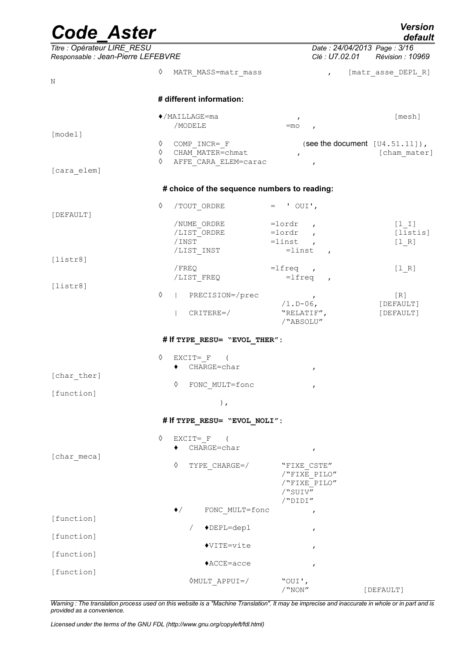| <b>Code Aster</b>                                                 |        |                                              |                                           | <b>Version</b><br>default                       |
|-------------------------------------------------------------------|--------|----------------------------------------------|-------------------------------------------|-------------------------------------------------|
| Titre : Opérateur LIRE_RESU<br>Responsable : Jean-Pierre LEFEBVRE |        |                                              | Clé : U7.02.01                            | Date: 24/04/2013 Page: 3/16<br>Révision : 10969 |
| N                                                                 | ♦      | MATR MASS=matr mass                          | $\mathbf{r}$                              | [matr_asse_DEPL_R]                              |
|                                                                   |        | # different information:                     |                                           |                                                 |
|                                                                   |        | $\blacklozenge$ /MAILLAGE=ma<br>/MODELE      | $\mathbf{r}$<br>$=$ mo                    | [mesh]                                          |
| [model]                                                           |        |                                              |                                           |                                                 |
|                                                                   | ♦      | COMP INCR= F                                 |                                           | (see the document $[U4.51.11]$ ),               |
|                                                                   | ♦<br>♦ | CHAM MATER=chmat<br>AFFE CARA ELEM=carac     | $\pmb{r}$                                 | [cham mater]                                    |
| [cara elem]                                                       |        |                                              | $\mathbf{r}$                              |                                                 |
|                                                                   |        | # choice of the sequence numbers to reading: |                                           |                                                 |
|                                                                   | ♦      | /TOUT ORDRE                                  | $=$ ' OUI',                               |                                                 |
| [DEFAULT]                                                         |        |                                              | $=$ lordr                                 |                                                 |
|                                                                   |        | /NUME ORDRE<br>/LIST ORDRE                   | $\mathbf{r}$<br>$=$ lordr<br>$\mathbf{r}$ | $[1 1]$<br>[listis]                             |
|                                                                   |        | /INST                                        | $=$ linst<br>$\overline{ }$               | $[1 R]$                                         |
|                                                                   |        | /LIST_INST                                   | $=$ linst<br>$\mathbf{r}$                 |                                                 |
| [liststr8]                                                        |        |                                              |                                           |                                                 |
|                                                                   |        | /FREQ                                        | $=$ lfreq,                                | $[1 R]$                                         |
| [liststr8]                                                        |        | /LIST FREQ                                   | $=$ lfreq<br>$\mathbf{r}$                 |                                                 |
|                                                                   | ♦      | PRECISION=/prec                              |                                           | [R]                                             |
|                                                                   |        |                                              | $\overline{ }$<br>$/1.D-06,$              | [DEFAULT]                                       |
|                                                                   |        | $CRITERE=$                                   | "RELATIF",                                | [DEFAULT]                                       |
|                                                                   |        |                                              | /"ABSOLU"                                 |                                                 |
|                                                                   |        | # If TYPE RESU= "EVOL THER":                 |                                           |                                                 |
|                                                                   | ♦      | $EXCIT = F$                                  |                                           |                                                 |
|                                                                   |        | CHARGE=char                                  | $\mathbf{r}$                              |                                                 |
| [char ther]                                                       |        | ♦                                            |                                           |                                                 |
| [function]                                                        |        | FONC MULT=fonc                               | $\pmb{r}$                                 |                                                 |
|                                                                   |        | $\,$ ,                                       |                                           |                                                 |
|                                                                   |        | # If TYPE_RESU= "EVOL_NOLI":                 |                                           |                                                 |
|                                                                   | ♦      | $EXCIT = F$                                  |                                           |                                                 |
|                                                                   |        | CHARGE=char                                  | $\pmb{r}$                                 |                                                 |
| [char meca]                                                       |        |                                              |                                           |                                                 |
|                                                                   |        | ♦<br>TYPE CHARGE=/                           | "FIXE CSTE"                               |                                                 |
|                                                                   |        |                                              | /"FIXE PILO"                              |                                                 |
|                                                                   |        |                                              | /"FIXE PILO"<br>/"SUIV"                   |                                                 |
|                                                                   |        |                                              | /"DIDI"                                   |                                                 |
|                                                                   |        | FONC MULT=fonc<br>$\blacklozenge$            | $\pmb{r}$                                 |                                                 |
| [function]                                                        |        |                                              |                                           |                                                 |
|                                                                   |        | $\blacklozenge$ DEPL=depl<br>$\sqrt{2}$      | $\pmb{r}$                                 |                                                 |
| [function]                                                        |        |                                              |                                           |                                                 |
| [function]                                                        |        | $\blacklozenge$ VITE=vite                    | $\mathbf{r}$                              |                                                 |
|                                                                   |        | $ACCE = acce$                                | $\pmb{r}$                                 |                                                 |
| [function]                                                        |        |                                              |                                           |                                                 |
|                                                                   |        | VMULT APPUI=/                                | "OUI',<br>/"NON"                          | [DEFAULT]                                       |
|                                                                   |        |                                              |                                           |                                                 |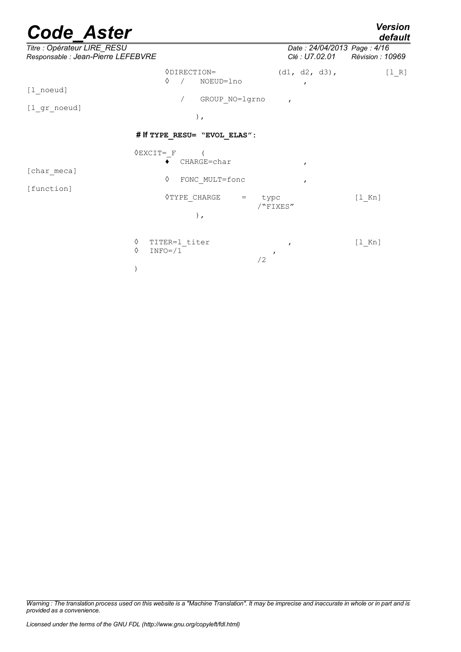*default*

| Titre : Opérateur LIRE_RESU                                                                                                                                                                                                                                                                                                                                                          |                                                                 | Date: 24/04/2013 Page: 4/16    |         |
|--------------------------------------------------------------------------------------------------------------------------------------------------------------------------------------------------------------------------------------------------------------------------------------------------------------------------------------------------------------------------------------|-----------------------------------------------------------------|--------------------------------|---------|
| [1 noeud]<br>$[1gr\_noeud]$                                                                                                                                                                                                                                                                                                                                                          | <b>ODIRECTION=</b><br>♦<br>NOEUD=lno<br>GROUP NO=lgrno<br>$)$ , | $\mathbf{r}$<br>$\overline{ }$ | $[1 R]$ |
| Responsable : Jean-Pierre LEFEBVRE<br>Clé : U7.02.01 Révision : 10969<br>$(d1, d2, d3)$ ,<br># If TYPE RESU= "EVOL ELAS":<br>$\Diamond$ EXCIT= F<br>CHARGE=char<br>$\mathbf{r}$<br>♦<br>FONC MULT=fonc<br>$\mathbf{r}$<br>◇TYPE CHARGE<br>$[1$ Kn]<br>$=$<br>typc<br>/"FIXES"<br>$)$ ,<br>♦<br>TITER=1 titer<br>$[1$ Kn]<br>$\mathbf{r}$<br>♦<br>$INFO= / 1$<br>$\overline{ }$<br>/2 |                                                                 |                                |         |
| [char meca]<br>[function]                                                                                                                                                                                                                                                                                                                                                            |                                                                 |                                |         |
|                                                                                                                                                                                                                                                                                                                                                                                      |                                                                 |                                |         |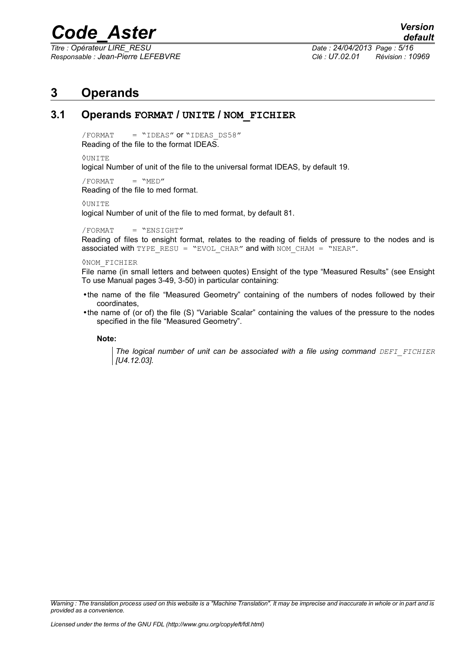*Titre : Opérateur LIRE\_RESU Date : 24/04/2013 Page : 5/16 Responsable : Jean-Pierre LEFEBVRE Clé : U7.02.01 Révision : 10969*

### **3 Operands**

### **3.1 Operands FORMAT / UNITE / NOM\_FICHIER**

 $/$ FORMAT = "IDEAS" or "IDEAS DS58" Reading of the file to the format IDEAS.

#### ዕUNTTE

logical Number of unit of the file to the universal format IDEAS, by default 19.

 $/$ FORMAT =  $"MED"$ Reading of the file to med format.

◊UNITE

logical Number of unit of the file to med format, by default 81.

 $/$ FORMAT = "ENSIGHT"

Reading of files to ensight format, relates to the reading of fields of pressure to the nodes and is associated with TYPE\_RESU = "EVOL\_CHAR" and with NOM\_CHAM = "NEAR".

### ◊NOM\_FICHIER

File name (in small letters and between quotes) Ensight of the type "Measured Results" (see Ensight To use Manual pages 3-49, 3-50) in particular containing:

- •the name of the file "Measured Geometry" containing of the numbers of nodes followed by their coordinates,
- •the name of (or of) the file (S) "Variable Scalar" containing the values of the pressure to the nodes specified in the file "Measured Geometry".

### **Note:**

*The logical number of unit can be associated with a file using command DEFI\_FICHIER [U4.12.03].*

*Warning : The translation process used on this website is a "Machine Translation". It may be imprecise and inaccurate in whole or in part and is provided as a convenience.*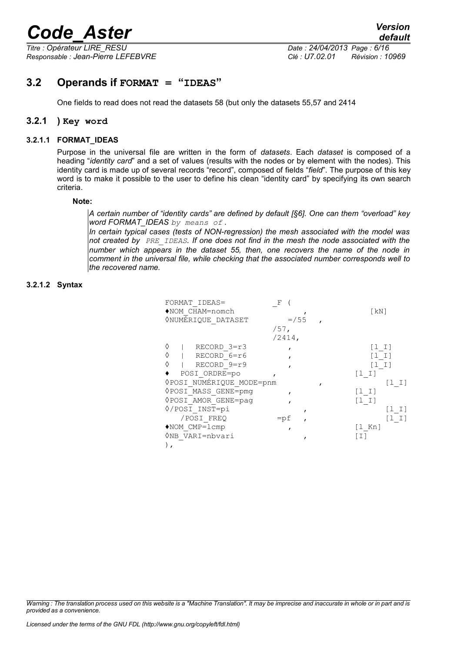*Titre : Opérateur LIRE\_RESU Date : 24/04/2013 Page : 6/16 Responsable : Jean-Pierre LEFEBVRE Clé : U7.02.01 Révision : 10969*

### **3.2 Operands if FORMAT = "IDEAS"**

One fields to read does not read the datasets 58 (but only the datasets 55,57 and 2414

### **3.2.1 ) Key word**

### **3.2.1.1 FORMAT\_IDEAS**

Purpose in the universal file are written in the form of *datasets*. Each *dataset* is composed of a heading "*identity card*" and a set of values (results with the nodes or by element with the nodes). This identity card is made up of several records "record", composed of fields "*field*". The purpose of this key word is to make it possible to the user to define his clean "identity card" by specifying its own search criteria.

### **Note:**

*A certain number of "identity cards" are defined by default [§6]. One can them "overload" key word FORMAT\_IDEAS by means of .*

*In certain typical cases (tests of NON-regression) the mesh associated with the model was not created by PRE\_IDEAS. If one does not find in the mesh the node associated with the number which appears in the dataset 55, then, one recovers the name of the node in comment in the universal file, while checking that the associated number corresponds well to the recovered name.*

### **3.2.1.2 Syntax**

| FORMAT IDEAS=<br>$\blacklozenge$ NOM CHAM=nomch<br><b><i>ONUMÉRIQUE DATASET</i></b> | F<br>$= 755$<br>$/57$ , | $\lceil kN \rceil$                    |
|-------------------------------------------------------------------------------------|-------------------------|---------------------------------------|
|                                                                                     | $/2414$ ,               |                                       |
| ♦<br>RECORD 3=r3                                                                    |                         | $[1 1]$                               |
| ♦<br>RECORD 6=r6                                                                    |                         | [1 I]                                 |
| RECORD 9=r9<br>♦                                                                    |                         | $\begin{bmatrix} 1 & I \end{bmatrix}$ |
| POSI ORDRE=po                                                                       |                         | $[1 1]$                               |
| <b><i>OPOSI NUMÉRIQUE MODE=pnm</i></b>                                              |                         | $[1 1]$                               |
| VPOSI MASS GENE=pmg                                                                 |                         | $[1 1]$                               |
| VPOSI AMOR GENE=paq                                                                 |                         | $[1 1]$                               |
| 0/POSI INST=pi                                                                      |                         | [1 I]                                 |
| /POSI FREO                                                                          | $=$ pf                  | $[1 1]$                               |
| $*$ NOM CMP= $l$ cmp                                                                |                         | $\lceil 1 \rceil$ Kn                  |
| ◊NB VARI=nbvari                                                                     |                         | [ I ]                                 |
|                                                                                     |                         |                                       |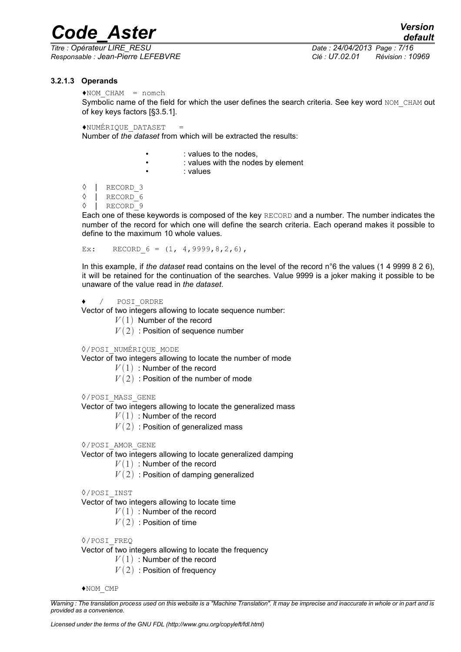*Titre : Opérateur LIRE\_RESU Date : 24/04/2013 Page : 7/16 Responsable : Jean-Pierre LEFEBVRE Clé : U7.02.01 Révision : 10969*

*default*

### **3.2.1.3 Operands**

 $*$ NOM CHAM = nomch

Symbolic name of the field for which the user defines the search criteria. See key word NOM\_CHAM out of key keys factors [§3.5.1].

 $*$ NUMÉRIQUE DATASET  $=$ 

Number of *the dataset* from which will be extracted the results:

- : values to the nodes,
	- : values with the nodes by element
	- : values
- ◊ | RECORD\_3
- ◊ | RECORD\_6
- ◊ | RECORD\_9

Each one of these keywords is composed of the key RECORD and a number. The number indicates the number of the record for which one will define the search criteria. Each operand makes it possible to define to the maximum 10 whole values.

Ex: RECORD  $6 = (1, 4, 9999, 8, 2, 6)$ ,

In this example, if *the dataset* read contains on the level of the record n°6 the values (1 4 9999 8 2 6), it will be retained for the continuation of the searches. Value 9999 is a joker making it possible to be unaware of the value read in *the dataset*.

### ♦ / POSI\_ORDRE

Vector of two integers allowing to locate sequence number:

- $V(1)$  Number of the record
- $V(2)$ : Position of sequence number

### ◊/POSI\_NUMÉRIQUE\_MODE

Vector of two integers allowing to locate the number of mode

- $V(1)$ : Number of the record
- $V(2)$ : Position of the number of mode

◊/POSI\_MASS\_GENE

Vector of two integers allowing to locate the generalized mass

- $V(1)$ : Number of the record
- $V(2)$ : Position of generalized mass
- ◊/POSI\_AMOR\_GENE

Vector of two integers allowing to locate generalized damping

- $V(1)$ : Number of the record
- $V(2)$ : Position of damping generalized
- ◊/POSI\_INST

Vector of two integers allowing to locate time

- $V(1)$ : Number of the record
- $V(2)$ : Position of time

◊/POSI\_FREQ

Vector of two integers allowing to locate the frequency

 $V(1)$ : Number of the record

 $V(2)$ : Position of frequency

♦NOM\_CMP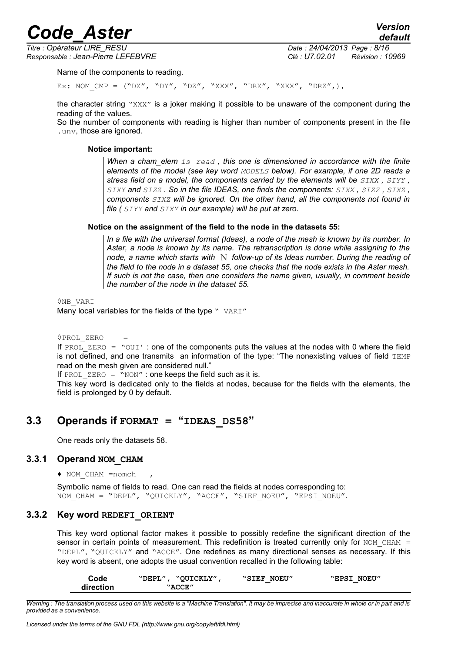*Titre : Opérateur LIRE\_RESU Date : 24/04/2013 Page : 8/16 Responsable : Jean-Pierre LEFEBVRE Clé : U7.02.01 Révision : 10969*

*default*

Name of the components to reading.

Ex: NOM CMP =  $("DX", "DY", "DZ", "XXX", "DRX", "XXX", "DRZ",),$ 

the character string "XXX" is a joker making it possible to be unaware of the component during the reading of the values.

So the number of components with reading is higher than number of components present in the file .unv, those are ignored.

### **Notice important:**

*When a cham\_elem is read , this one is dimensioned in accordance with the finite elements of the model (see key word MODELS below). For example, if one 2D reads a stress field on a model, the components carried by the elements will be SIXX , SIYY , SIXY and SIZZ . So in the file IDEAS, one finds the components: SIXX , SIZZ , SIXZ , components SIXZ will be ignored. On the other hand, all the components not found in file ( SIYY and SIXY in our example) will be put at zero.*

#### **Notice on the assignment of the field to the node in the datasets 55:**

*In a file with the universal format (Ideas), a node of the mesh is known by its number. In Aster, a node is known by its name. The retranscription is done while assigning to the node, a name which starts with* N *follow-up of its Ideas number. During the reading of the field to the node in a dataset 55, one checks that the node exists in the Aster mesh. If such is not the case, then one considers the name given, usually, in comment beside the number of the node in the dataset 55.*

◊NB\_VARI Many local variables for the fields of the type " VARI"

◊PROL\_ZERO = If PROL ZERO = "OUI' : one of the components puts the values at the nodes with 0 where the field is not defined, and one transmits an information of the type: "The nonexisting values of field TEMP read on the mesh given are considered null."

If PROL ZERO = "NON" : one keeps the field such as it is.

This key word is dedicated only to the fields at nodes, because for the fields with the elements, the field is prolonged by 0 by default.

### **3.3 Operands if FORMAT = "IDEAS\_DS58"**

One reads only the datasets 58.

### **3.3.1 Operand NOM\_CHAM**

♦ NOM\_CHAM =nomch ,

Symbolic name of fields to read. One can read the fields at nodes corresponding to: NOM CHAM = "DEPL", "QUICKLY", "ACCE", "SIEF NOEU", "EPSI\_NOEU".

### **3.3.2 Key word REDEFI\_ORIENT**

This key word optional factor makes it possible to possibly redefine the significant direction of the sensor in certain points of measurement. This redefinition is treated currently only for  $NOMCHAM$  = "DEPL", "QUICKLY" and "ACCE". One redefines as many directional senses as necessary. If this key word is absent, one adopts the usual convention recalled in the following table:

| Code      | "OUICKLY"<br>"DEPL" | "SIEF NOEU" | "EPSI NOEU" |
|-----------|---------------------|-------------|-------------|
| direction | "ACCE"              |             |             |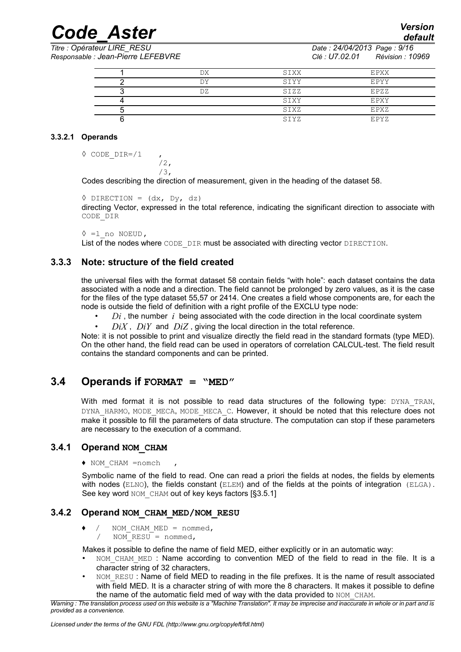*Titre : Opérateur LIRE\_RESU Date : 24/04/2013 Page : 9/16 Responsable : Jean-Pierre LEFEBVRE Clé : U7.02.01 Révision : 10969*

*default*

| DX  | SIXX | EPXX |
|-----|------|------|
| DΥ  | SIYY | EPYY |
| DZ. | SIZZ | EPZZ |
|     | SIXY | EPXY |
|     | SIXZ | EPXZ |
|     | STYZ | EPYZ |

### **3.3.2.1 Operands**

◊ CODE\_DIR=/1 ,

Codes describing the direction of measurement, given in the heading of the dataset 58.

```
\Diamond DIRECTION = (dx, Dy, dz)directing Vector, expressed in the total reference, indicating the significant direction to associate with
CODE_DIR
```

```
◊ =l_no NOEUD,
```
List of the nodes where CODE DIR must be associated with directing vector DIRECTION.

### **3.3.3 Note: structure of the field created**

/2, /3,

the universal files with the format dataset 58 contain fields "with hole": each dataset contains the data associated with a node and a direction. The field cannot be prolonged by zero values, as it is the case for the files of the type dataset 55,57 or 2414. One creates a field whose components are, for each the node is outside the field of definition with a right profile of the EXCLU type node:

- *Di* , the number *i* being associated with the code direction in the local coordinate system
- $DiX$ ,  $DiY$  and  $DiZ$ , giving the local direction in the total reference.

Note: it is not possible to print and visualize directly the field read in the standard formats (type MED). On the other hand, the field read can be used in operators of correlation CALCUL-test. The field result contains the standard components and can be printed.

### **3.4 Operands if FORMAT = "MED"**

With med format it is not possible to read data structures of the following type: DYNA TRAN, DYNA\_HARMO, MODE\_MECA, MODE\_MECA\_C. However, it should be noted that this relecture does not make it possible to fill the parameters of data structure. The computation can stop if these parameters are necessary to the execution of a command.

### **3.4.1 Operand NOM\_CHAM**

### ♦ NOM\_CHAM =nomch ,

Symbolic name of the field to read. One can read a priori the fields at nodes, the fields by elements with nodes (ELNO), the fields constant (ELEM) and of the fields at the points of integration (ELGA). See key word NOM CHAM out of key keys factors [§3.5.1]

### **3.4.2 Operand NOM\_CHAM\_MED/NOM\_RESU**

- NOM CHAM MED = nommed,
	- $\overline{NOM}$  RESU = nommed,

Makes it possible to define the name of field MED, either explicitly or in an automatic way:

- NOM CHAM MED: Name according to convention MED of the field to read in the file. It is a character string of 32 characters,
- NOM\_RESU : Name of field MED to reading in the file prefixes. It is the name of result associated with field MED. It is a character string of with more the 8 characters. It makes it possible to define the name of the automatic field med of way with the data provided to NOM CHAM.

*Warning : The translation process used on this website is a "Machine Translation". It may be imprecise and inaccurate in whole or in part and is provided as a convenience.*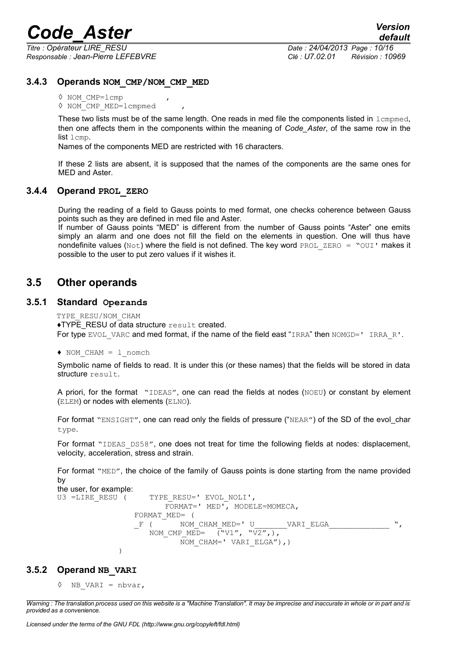*Titre : Opérateur LIRE\_RESU Date : 24/04/2013 Page : 10/16 Responsable : Jean-Pierre LEFEBVRE Clé : U7.02.01 Révision : 10969*

### **3.4.3 Operands NOM\_CMP/NOM\_CMP\_MED**

◊ NOM\_CMP=lcmp ,

◊ NOM\_CMP\_MED=lcmpmed ,

These two lists must be of the same length. One reads in med file the components listed in  $l$  cmpmed, then one affects them in the components within the meaning of *Code\_Aster*, of the same row in the list lcmp.

Names of the components MED are restricted with 16 characters.

If these 2 lists are absent, it is supposed that the names of the components are the same ones for MED and Aster.

### **3.4.4 Operand PROL\_ZERO**

During the reading of a field to Gauss points to med format, one checks coherence between Gauss points such as they are defined in med file and Aster.

If number of Gauss points "MED" is different from the number of Gauss points "Aster" one emits simply an alarm and one does not fill the field on the elements in question. One will thus have nondefinite values ( $Not$ ) where the field is not defined. The key word  $PROL$   $ZERO = "OUI"$  makes it possible to the user to put zero values if it wishes it.

### **3.5 Other operands**

### **3.5.1 Standard Operands**

```
TYPE_RESU/NOM_CHAM
```
♦TYPE\_RESU of data structure result created. For type EVOL VARC and med format, if the name of the field east "IRRA" then NOMGD=' IRRA\_R'.

```
♦ NOM_CHAM = l_nomch
```
Symbolic name of fields to read. It is under this (or these names) that the fields will be stored in data structure result.

A priori, for the format "IDEAS", one can read the fields at nodes (NOEU) or constant by element (ELEM) or nodes with elements (ELNO).

For format "ENSIGHT", one can read only the fields of pressure ("NEAR") of the SD of the evol char type.

For format "IDEAS DS58", one does not treat for time the following fields at nodes: displacement, velocity, acceleration, stress and strain.

For format "MED", the choice of the family of Gauss points is done starting from the name provided by

the user, for example: U3 =LIRE\_RESU (TYPE\_RESU=' EVOL\_NOLI', FORMAT=' MED', MODELE=MOMECA, FORMAT\_MED= (<br>\_F ( NOM NOM CHAM MED=' U WARI ELGA NOM CMP MED=  $\overline{(\text{``V1''}, \text{``V2''})},$ NOM CHAM=' VARI ELGA"), ) )

### **3.5.2 Operand NB\_VARI**

```
\Diamond NB VARI = nbvar,
```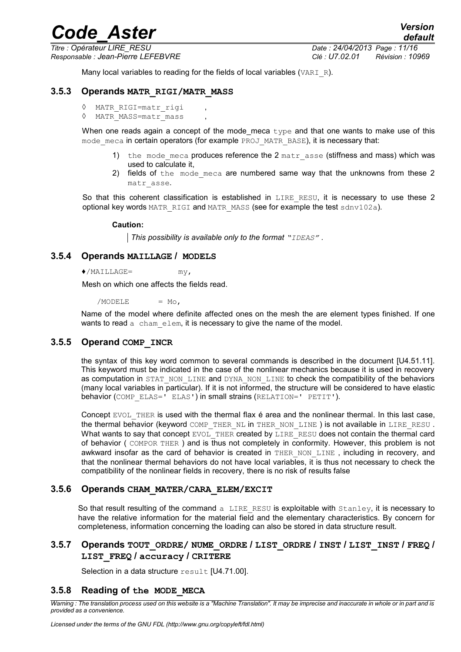*Responsable : Jean-Pierre LEFEBVRE Clé : U7.02.01 Révision : 10969*

*default Titre : Opérateur LIRE\_RESU Date : 24/04/2013 Page : 11/16*

Many local variables to reading for the fields of local variables (VARI  $R$ ).

### **3.5.3 Operands MATR\_RIGI/MATR\_MASS**

```
◊ MATR_RIGI=matr_rigi ,
```
◊ MATR\_MASS=matr\_mass ,

When one reads again a concept of the mode meca  $type$  and that one wants to make use of this mode meca in certain operators (for example PROJ\_MATR\_BASE), it is necessary that:

- 1) the mode meca produces reference the 2 matr asse (stiffness and mass) which was used to calculate it,
- 2) fields of the mode meca are numbered same way that the unknowns from these 2 matr\_asse.

So that this coherent classification is established in LIRE RESU, it is necessary to use these 2 optional key words MATR\_RIGI and MATR\_MASS (see for example the test sdnv102a).

#### **Caution:**

*This possibility is available only to the format "IDEAS" .*

### **3.5.4 Operands MAILLAGE / MODELS**

 $\bullet$ /MAILLAGE=  $mv$ .

Mesh on which one affects the fields read.

 $/MODELE = MO$ .

Name of the model where definite affected ones on the mesh the are element types finished. If one wants to read  $\alpha$  chameterm, it is necessary to give the name of the model.

### **3.5.5 Operand COMP\_INCR**

the syntax of this key word common to several commands is described in the document [U4.51.11]. This keyword must be indicated in the case of the nonlinear mechanics because it is used in recovery as computation in STAT\_NON\_LINE and DYNA\_NON\_LINE to check the compatibility of the behaviors (many local variables in particular). If it is not informed, the structure will be considered to have elastic behavior (COMP\_ELAS=' ELAS') in small strains (RELATION=' PETIT').

Concept EVOL THER is used with the thermal flax é area and the nonlinear thermal. In this last case, the thermal behavior (keyword COMP\_THER\_NL in THER\_NON\_LINE) is not available in LIRE\_RESU. What wants to say that concept EVOL THER created by LIRE\_RESU does not contain the thermal card of behavior ( COMPOR THER ) and is thus not completely in conformity. However, this problem is not awkward insofar as the card of behavior is created in THER NON LINE, including in recovery, and that the nonlinear thermal behaviors do not have local variables, it is thus not necessary to check the compatibility of the nonlinear fields in recovery, there is no risk of results false

### **3.5.6 Operands CHAM\_MATER/CARA\_ELEM/EXCIT**

So that result resulting of the command a LIRE RESU is exploitable with  $Stanley$ , it is necessary to have the relative information for the material field and the elementary characteristics. By concern for completeness, information concerning the loading can also be stored in data structure result.

### **3.5.7 Operands TOUT\_ORDRE/ NUME\_ORDRE / LIST\_ORDRE / INST / LIST\_INST / FREQ / LIST\_FREQ / accuracy / CRITERE**

Selection in a data structure result [U4.71.00].

### **3.5.8 Reading of the MODE\_MECA**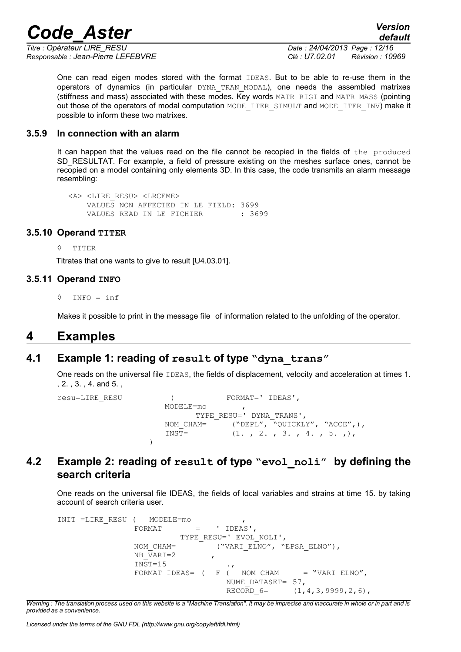*Responsable : Jean-Pierre LEFEBVRE Clé : U7.02.01 Révision : 10969*

*Titre : Opérateur LIRE\_RESU Date : 24/04/2013 Page : 12/16*

*default*

One can read eigen modes stored with the format IDEAS. But to be able to re-use them in the operators of dynamics (in particular DYNA TRAN MODAL), one needs the assembled matrixes (stiffness and mass) associated with these modes. Key words MATR\_RIGI and MATR\_MASS (pointing out those of the operators of modal computation MODE\_ITER\_SIMULT and MODE\_ITER\_INV) make it possible to inform these two matrixes.

### **3.5.9 In connection with an alarm**

It can happen that the values read on the file cannot be recopied in the fields of the produced SD\_RESULTAT. For example, a field of pressure existing on the meshes surface ones, cannot be recopied on a model containing only elements 3D. In this case, the code transmits an alarm message resembling:

```
 <A> <LIRE_RESU> <LRCEME>
    VALUES NON AFFECTED IN LE FIELD: 3699
   VALUES READ IN LE FICHIER : 3699
```
### **3.5.10 Operand TITER**

◊ TITER

Titrates that one wants to give to result [U4.03.01].

### **3.5.11 Operand INFO**

◊ INFO = inf

Makes it possible to print in the message file of information related to the unfolding of the operator.

### **4 Examples**

### **4.1 Example 1: reading of result of type "dyna\_trans"**

One reads on the universal file IDEAS, the fields of displacement, velocity and acceleration at times 1. , 2. , 3. , 4. and 5. ,

```
resu=LIRE_RESU ( FORMAT=' IDEAS', 
                  MODELE=mo , 
                       TYPE RESU=' DYNA TRANS',
                  NOM CHAM= ("DEPL", "QUICKLY", "ACCE",),
                  INST= (1, 2, 3, 4, 5, 5))
```
### **4.2 Example 2: reading of result of type "evol\_noli" by defining the search criteria**

One reads on the universal file IDEAS, the fields of local variables and strains at time 15. by taking account of search criteria user.

```
INIT =LIRE_RESU ( MODELE=mo , 
               FORMAT = 'IDEAS',
                        TYPE_RESU=' EVOL NOLI',
               NOM CHAM= ("VARI ELNO", "EPSA ELNO"),
               NB \overline{V}ARI=2INST=15<br>FORMAT IDEAS= ( F ( NOM CHAM
               FORMAT IDEAS= ( F ( NOMCHAM = "VARI ELNO",
                                  NUME DATASET = 57,
                                  RECORD 6= (1,4,3,9999,2,6),
```
*Warning : The translation process used on this website is a "Machine Translation". It may be imprecise and inaccurate in whole or in part and is provided as a convenience.*

*Licensed under the terms of the GNU FDL (http://www.gnu.org/copyleft/fdl.html)*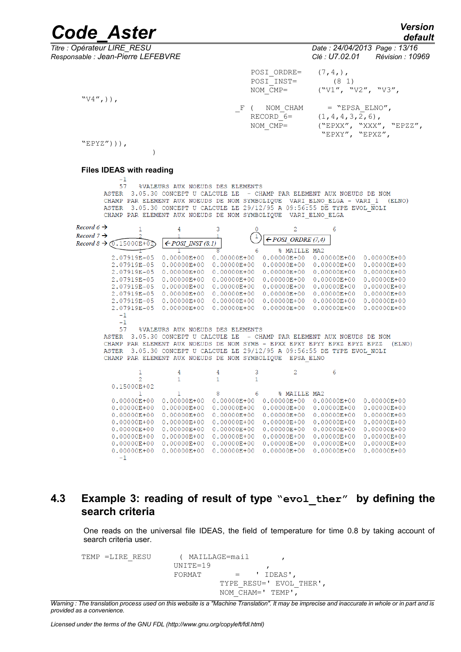*Responsable : Jean-Pierre LEFEBVRE Clé : U7.02.01 Révision : 10969*

*Titre : Opérateur LIRE\_RESU Date : 24/04/2013 Page : 13/16*

POSI ORDRE=  $(7,4,),$ POSI $\overline{\_}$ INST= (8 1)<br>NOM CMP= ("V1", "

 $($ "V1", "V2", "V3",

 $F$  ( NOM\_CHAM = "EPSA\_ELNO",<br>RECORD 6= (1,4,4,3,2,6), RECORD  $6=$  (1,4,4,3,2,6),<br>NOM CMP= ("EPXX", "XXX" NOM\_CMP= ("EPXX", "XXX", "EPZZ", "EPXY", "EPXZ",

 $"EPYZ'')$ )),

 $"V4",$ )),

#### **Files IDEAS with reading**

 $\lambda$ 

 $-1$ 57 %VALEURS AUX NOEUDS DES ELEMENTS ASTER 3.05.30 CONCEPT U CALCULE LE - CHAMP PAR ELEMENT AUX NOEUDS DE NOM CHAMP PAR ELEMENT AUX NOEUDS DE NOM SYMBOLIQUE VARI ELNO ELGA - VARI 1 (ELNO) ASTER 3.05.30 CONCEPT U CALCULE LE 29/12/95 A 09:56:55 DE TYPE EVOL NOLI CHAMP PAR ELEMENT AUX NOEUDS DE NOM SYMBOLIQUE VARI ELNO ELGA

| Record $6 \rightarrow$<br>Record $7 \rightarrow$ |                                                 | 4                                | 3                 |                | 2<br>$\leftarrow$ POSI ORDRE (7,4) | 6                 |                 |
|--------------------------------------------------|-------------------------------------------------|----------------------------------|-------------------|----------------|------------------------------------|-------------------|-----------------|
|                                                  | Record $8 \rightarrow \overline{0}$ . 15000E+02 | $\leftarrow$ POSI INST (8.1)     |                   |                |                                    |                   |                 |
|                                                  |                                                 |                                  |                   |                | MAILLE MA2<br>°≈                   |                   |                 |
|                                                  | 2.07919E-05                                     | $0.00000E + 00$                  | $0.00000E + 00$   |                | $0.00000E + 00$                    | $0.00000E + 00$   | $0.00000E + 00$ |
|                                                  | 2.07919E-05                                     | $0.00000E + 00$                  | $0.00000E + 00$   |                | $0.00000E + 00$                    | $0.00000E + 00$   | $0.00000E + 00$ |
|                                                  | 2.07919E-05                                     | $0.00000E + 00$                  | $0.00000E + 00$   |                | $0.00000E + 00$                    | $0.00000E + 00$   | $0.00000E + 00$ |
|                                                  | 2.07919E-05                                     | $0.00000E + 00$                  | $0.00000E + 00$   |                | $0.00000E + 00$                    | $0.00000E + 00$   | $0.00000E + 00$ |
|                                                  | 2.07919E-05                                     | $0.00000E + 00$                  | $0.00000E + 00$   |                | $0.00000E + 00$                    | $0.00000E + 00$   | $0.00000E + 00$ |
|                                                  | 2.07919E-05                                     | $0.00000E + 00$                  | $0.00000E + 00$   |                | $0.00000E + 00$                    | $0.00000E + 00$   | $0.00000E + 00$ |
|                                                  | 2.07919E-05                                     | $0.00000E + 00$                  | $0.00000E + 00$   |                | $0.00000E + 00$                    | $0.00000E + 00$   | $0.00000E + 00$ |
|                                                  | 2.07919E-05                                     | $0.00000E + 00$                  | $0.00000E + 00$   |                | $0.00000E + 00$                    | $0.00000E + 00$   | $0.00000E + 00$ |
|                                                  | $-1$                                            |                                  |                   |                |                                    |                   |                 |
|                                                  | $-1$                                            |                                  |                   |                |                                    |                   |                 |
|                                                  | 57                                              | %VALEURS AUX NOEUDS DES ELEMENTS |                   |                |                                    |                   |                 |
|                                                  | <b>ASTER</b><br>3.05.30                         | CONCEPT<br>п                     | CALCULE<br>T.E.   | $\equiv$       | CHAMP<br>PAR ELEMENT               | AUX NOEUDS        | DE NOM          |
|                                                  | <b>CHAMP</b><br>PAR ELEMENT                     | AUX<br>NOEUDS                    | DE.<br><b>NOM</b> | SYMB -         | EPXX<br>EPXY EPYY                  | EPYZ<br>EPXZ      | (ELNO)<br>EPZZ  |
|                                                  | ASTER<br>3.05.30                                | <b>CONCEPT</b><br>U              | CALCULE.<br>T.E.  |                | 29/12/95 A 09:56:55                | DE TYPE EVOL NOLI |                 |
|                                                  | <b>CHAMP</b>                                    | PAR ELEMENT AUX NOEUDS           | DE                | NOM SYMBOLIOUE | <b>EPSA ELNO</b>                   |                   |                 |
|                                                  |                                                 | 4                                | 4                 | 3              | 2                                  | 6                 |                 |
|                                                  |                                                 |                                  |                   |                |                                    |                   |                 |

| 0.15000E+02     |                 |                                           |   |                 |                 |                 |
|-----------------|-----------------|-------------------------------------------|---|-----------------|-----------------|-----------------|
|                 | $\mathbf{1}$    | $\sim$ $\sim$ $\sim$ $\sim$ $\sim$ $\sim$ | 6 | % MATLLE MA2    |                 |                 |
| $0.00000E + 00$ | $0.00000E + 00$ | $0.00000E + 00$                           |   | $0.00000E + 00$ | $0.00000E + 00$ | $0.00000E + 00$ |
| $0.00000E + 00$ | $0.00000E + 00$ | $0.00000E + 00$                           |   | $0.00000E + 00$ | $0.00000E + 00$ | $0.00000E + 00$ |
| $0.00000E + 00$ | $0.00000E + 00$ | $0.00000E + 00$                           |   | $0.00000E + 00$ | $0.00000E + 00$ | $0.00000E + 00$ |
| $0.00000E + 00$ | $0.00000E + 00$ | $0.00000E + 00$                           |   | $0.00000E + 00$ | $0.00000E + 00$ | $0.00000E + 00$ |
| $0.00000E + 00$ | $0.00000E + 00$ | $0.00000E + 00$                           |   | $0.00000E + 00$ | $0.00000E + 00$ | $0.00000E + 00$ |
| $0.00000E + 00$ | $0.00000E + 00$ | $0.00000E + 00$                           |   | $0.00000E + 00$ | $0.00000E + 00$ | $0.00000E + 00$ |
| $0.00000E + 00$ | $0.00000E + 00$ | $0.00000E + 00$                           |   | $0.00000E + 00$ | $0.00000E + 00$ | $0.00000E + 00$ |
| $0.00000E + 00$ | $0.00000E + 00$ | $0.00000E + 00$                           |   | $0.00000E + 00$ | $0.00000E + 00$ | $0.00000E + 00$ |
| $-1$            |                 |                                           |   |                 |                 |                 |

### **4.3 Example 3: reading of result of type "evol\_ther" by defining the search criteria**

One reads on the universal file IDEAS, the field of temperature for time 0.8 by taking account of search criteria user.

TEMP =LIRE RESU ( MAILLAGE=mail  $UNTTR=19$ FORMAT  $=$  'IDEAS', TYPE\_RESU=' EVOL\_THER', NOM  $CHAM=$ ' TEMP',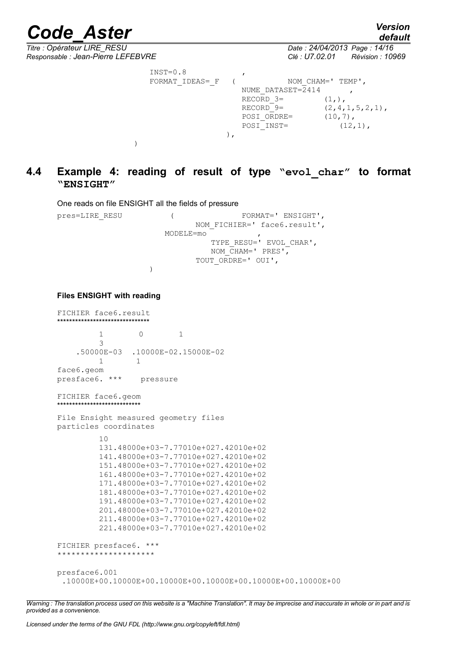*default*

*Titre : Opérateur LIRE\_RESU Date : 24/04/2013 Page : 14/16 Responsable : Jean-Pierre LEFEBVRE Clé : U7.02.01 Révision : 10969*  $INST=0.8$ FORMAT\_IDEAS=\_F ( NOM\_CHAM=' TEMP', NUME DATASET= $\overline{2}414$ RECORD  $3=$  (1,),<br>RECORD  $9=$  (2,4,  $(2,4,1,5,2,1)$ , POSI ORDRE=  $(10,7)$ ,  $\overline{POSI}$  INST= (12,1), ), )

### **4.4 Example 4: reading of result of type "evol\_char" to format "ENSIGHT"**

One reads on file ENSIGHT all the fields of pressure

pres=LIRE\_RESU ( FORMAT=' ENSIGHT', NOM FICHIER=' face6.result', MODELE=mo , TYPE\_RESU=' EVOL\_CHAR', NOM  $CHAM=$ ' PRES', TOUT\_ORDRE=' OUI',

)

### **Files ENSIGHT with reading**

```
FICHIER face6.result
*******************************
          1 0 1
          3
     .50000E-03 .10000E-02.15000E-02
 1 1
face6.geom
presface6. *** pressure
FICHIER face6.geom
****************************
File Ensight measured geometry files
particles coordinates
          10
          131.48000e+03-7.77010e+027.42010e+02
          141.48000e+03-7.77010e+027.42010e+02
          151.48000e+03-7.77010e+027.42010e+02
          161.48000e+03-7.77010e+027.42010e+02
          171.48000e+03-7.77010e+027.42010e+02
          181.48000e+03-7.77010e+027.42010e+02
          191.48000e+03-7.77010e+027.42010e+02
          201.48000e+03-7.77010e+027.42010e+02
          211.48000e+03-7.77010e+027.42010e+02
          221.48000e+03-7.77010e+027.42010e+02
FICHIER presface6. ***
*********************
presface6.001
```
.10000E+00.10000E+00.10000E+00.10000E+00.10000E+00.10000E+00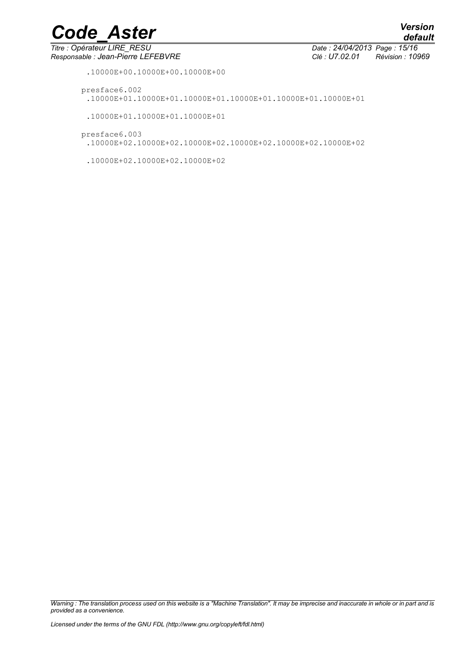$\overline{T}$ itre : Opérateur LIRE\_RESU *Responsable : Jean-Pierre LEFEBVRE Clé : U7.02.01 Révision : 10969*

*default*

.10000E+00.10000E+00.10000E+00

- presface6.002
	- .10000E+01.10000E+01.10000E+01.10000E+01.10000E+01.10000E+01
	- .10000E+01.10000E+01.10000E+01
- presface6.003
	- .10000E+02.10000E+02.10000E+02.10000E+02.10000E+02.10000E+02
	- .10000E+02.10000E+02.10000E+02

*Warning : The translation process used on this website is a "Machine Translation". It may be imprecise and inaccurate in whole or in part and is provided as a convenience.*